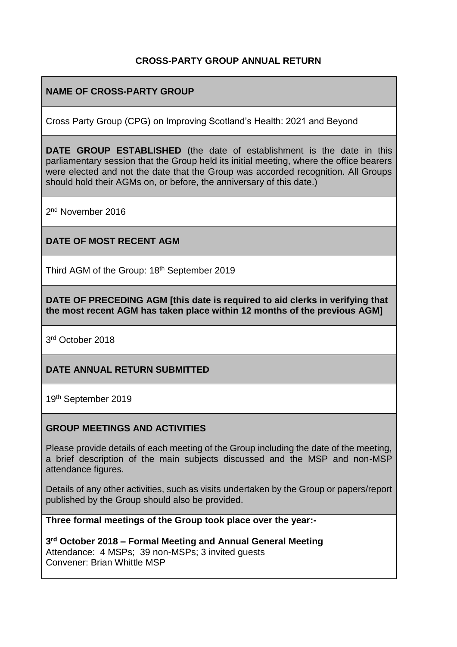### **CROSS-PARTY GROUP ANNUAL RETURN**

### **NAME OF CROSS-PARTY GROUP**

Cross Party Group (CPG) on Improving Scotland's Health: 2021 and Beyond

**DATE GROUP ESTABLISHED** (the date of establishment is the date in this parliamentary session that the Group held its initial meeting, where the office bearers were elected and not the date that the Group was accorded recognition. All Groups should hold their AGMs on, or before, the anniversary of this date.)

2<sup>nd</sup> November 2016

#### **DATE OF MOST RECENT AGM**

Third AGM of the Group: 18<sup>th</sup> September 2019

**DATE OF PRECEDING AGM [this date is required to aid clerks in verifying that the most recent AGM has taken place within 12 months of the previous AGM]**

3rd October 2018

### **DATE ANNUAL RETURN SUBMITTED**

19th September 2019

#### **GROUP MEETINGS AND ACTIVITIES**

Please provide details of each meeting of the Group including the date of the meeting, a brief description of the main subjects discussed and the MSP and non-MSP attendance figures.

Details of any other activities, such as visits undertaken by the Group or papers/report published by the Group should also be provided.

**Three formal meetings of the Group took place over the year:-**

**3 rd October 2018 – Formal Meeting and Annual General Meeting** Attendance: 4 MSPs; 39 non-MSPs; 3 invited guests Convener: Brian Whittle MSP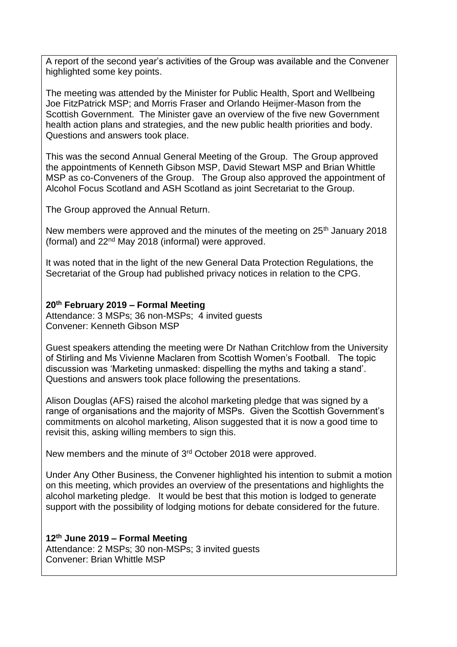A report of the second year's activities of the Group was available and the Convener highlighted some key points.

The meeting was attended by the Minister for Public Health, Sport and Wellbeing Joe FitzPatrick MSP; and Morris Fraser and Orlando Heijmer-Mason from the Scottish Government. The Minister gave an overview of the five new Government health action plans and strategies, and the new public health priorities and body. Questions and answers took place.

This was the second Annual General Meeting of the Group. The Group approved the appointments of Kenneth Gibson MSP, David Stewart MSP and Brian Whittle MSP as co-Conveners of the Group. The Group also approved the appointment of Alcohol Focus Scotland and ASH Scotland as joint Secretariat to the Group.

The Group approved the Annual Return.

New members were approved and the minutes of the meeting on 25<sup>th</sup> January 2018 (formal) and 22nd May 2018 (informal) were approved.

It was noted that in the light of the new General Data Protection Regulations, the Secretariat of the Group had published privacy notices in relation to the CPG.

### **20th February 2019 – Formal Meeting**

Attendance: 3 MSPs; 36 non-MSPs; 4 invited guests Convener: Kenneth Gibson MSP

Guest speakers attending the meeting were Dr Nathan Critchlow from the University of Stirling and Ms Vivienne Maclaren from Scottish Women's Football. The topic discussion was 'Marketing unmasked: dispelling the myths and taking a stand'. Questions and answers took place following the presentations.

Alison Douglas (AFS) raised the alcohol marketing pledge that was signed by a range of organisations and the majority of MSPs. Given the Scottish Government's commitments on alcohol marketing, Alison suggested that it is now a good time to revisit this, asking willing members to sign this.

New members and the minute of 3<sup>rd</sup> October 2018 were approved.

Under Any Other Business, the Convener highlighted his intention to submit a motion on this meeting, which provides an overview of the presentations and highlights the alcohol marketing pledge. It would be best that this motion is lodged to generate support with the possibility of lodging motions for debate considered for the future.

**12th June 2019 – Formal Meeting** Attendance: 2 MSPs; 30 non-MSPs; 3 invited guests Convener: Brian Whittle MSP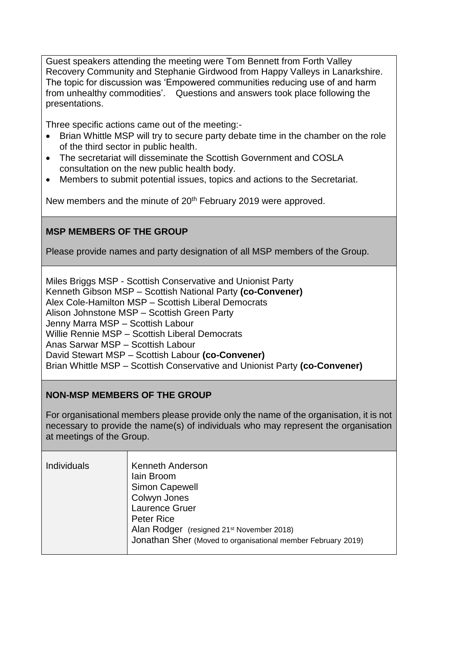Guest speakers attending the meeting were Tom Bennett from Forth Valley Recovery Community and Stephanie Girdwood from Happy Valleys in Lanarkshire. The topic for discussion was 'Empowered communities reducing use of and harm from unhealthy commodities'. Questions and answers took place following the presentations.

Three specific actions came out of the meeting:-

- Brian Whittle MSP will try to secure party debate time in the chamber on the role of the third sector in public health.
- The secretariat will disseminate the Scottish Government and COSLA consultation on the new public health body.
- Members to submit potential issues, topics and actions to the Secretariat.

New members and the minute of 20<sup>th</sup> February 2019 were approved.

### **MSP MEMBERS OF THE GROUP**

Please provide names and party designation of all MSP members of the Group.

Miles Briggs MSP - Scottish Conservative and Unionist Party Kenneth Gibson MSP – Scottish National Party **(co-Convener)** Alex Cole-Hamilton MSP – Scottish Liberal Democrats Alison Johnstone MSP – Scottish Green Party Jenny Marra MSP – Scottish Labour Willie Rennie MSP – Scottish Liberal Democrats Anas Sarwar MSP – Scottish Labour David Stewart MSP – Scottish Labour **(co-Convener)** Brian Whittle MSP – Scottish Conservative and Unionist Party **(co-Convener)**

### **NON-MSP MEMBERS OF THE GROUP**

For organisational members please provide only the name of the organisation, it is not necessary to provide the name(s) of individuals who may represent the organisation at meetings of the Group.

| Individuals | Kenneth Anderson<br>lain Broom<br><b>Simon Capewell</b><br>Colwyn Jones<br>Laurence Gruer<br><b>Peter Rice</b><br>Alan Rodger (resigned 21 <sup>st</sup> November 2018)<br>Jonathan Sher (Moved to organisational member February 2019) |
|-------------|-----------------------------------------------------------------------------------------------------------------------------------------------------------------------------------------------------------------------------------------|
|-------------|-----------------------------------------------------------------------------------------------------------------------------------------------------------------------------------------------------------------------------------------|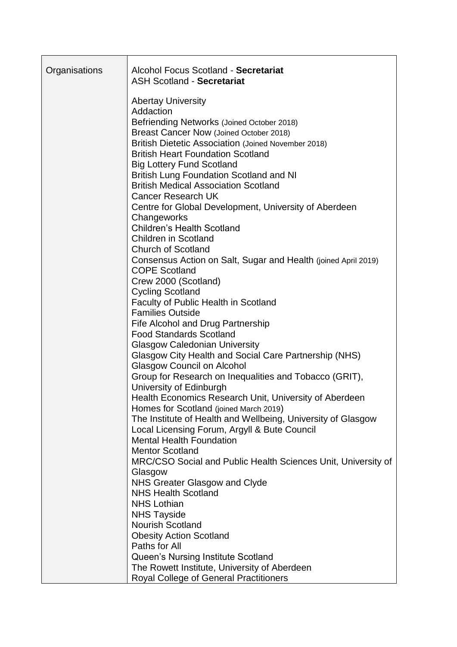| Organisations | Alcohol Focus Scotland - Secretariat<br><b>ASH Scotland - Secretariat</b>                                                       |
|---------------|---------------------------------------------------------------------------------------------------------------------------------|
|               | <b>Abertay University</b><br>Addaction<br>Befriending Networks (Joined October 2018)<br>Breast Cancer Now (Joined October 2018) |
|               | <b>British Dietetic Association (Joined November 2018)</b>                                                                      |
|               | <b>British Heart Foundation Scotland</b>                                                                                        |
|               | <b>Big Lottery Fund Scotland</b><br><b>British Lung Foundation Scotland and NI</b>                                              |
|               | <b>British Medical Association Scotland</b>                                                                                     |
|               | <b>Cancer Research UK</b>                                                                                                       |
|               | Centre for Global Development, University of Aberdeen                                                                           |
|               | Changeworks<br><b>Children's Health Scotland</b>                                                                                |
|               | <b>Children in Scotland</b>                                                                                                     |
|               | <b>Church of Scotland</b>                                                                                                       |
|               | Consensus Action on Salt, Sugar and Health (joined April 2019)                                                                  |
|               | <b>COPE Scotland</b>                                                                                                            |
|               | Crew 2000 (Scotland)<br><b>Cycling Scotland</b>                                                                                 |
|               | Faculty of Public Health in Scotland                                                                                            |
|               | <b>Families Outside</b>                                                                                                         |
|               | Fife Alcohol and Drug Partnership                                                                                               |
|               | <b>Food Standards Scotland</b>                                                                                                  |
|               | <b>Glasgow Caledonian University</b><br>Glasgow City Health and Social Care Partnership (NHS)                                   |
|               | <b>Glasgow Council on Alcohol</b>                                                                                               |
|               | Group for Research on Inequalities and Tobacco (GRIT),                                                                          |
|               | University of Edinburgh                                                                                                         |
|               | Health Economics Research Unit, University of Aberdeen                                                                          |
|               | Homes for Scotland (joined March 2019)<br>The Institute of Health and Wellbeing, University of Glasgow                          |
|               | Local Licensing Forum, Argyll & Bute Council                                                                                    |
|               | <b>Mental Health Foundation</b>                                                                                                 |
|               | <b>Mentor Scotland</b>                                                                                                          |
|               | MRC/CSO Social and Public Health Sciences Unit, University of                                                                   |
|               | Glasgow<br><b>NHS Greater Glasgow and Clyde</b>                                                                                 |
|               | <b>NHS Health Scotland</b>                                                                                                      |
|               | <b>NHS Lothian</b>                                                                                                              |
|               | <b>NHS Tayside</b>                                                                                                              |
|               | <b>Nourish Scotland</b>                                                                                                         |
|               | <b>Obesity Action Scotland</b>                                                                                                  |
|               | Paths for All<br>Queen's Nursing Institute Scotland                                                                             |
|               | The Rowett Institute, University of Aberdeen                                                                                    |
|               | <b>Royal College of General Practitioners</b>                                                                                   |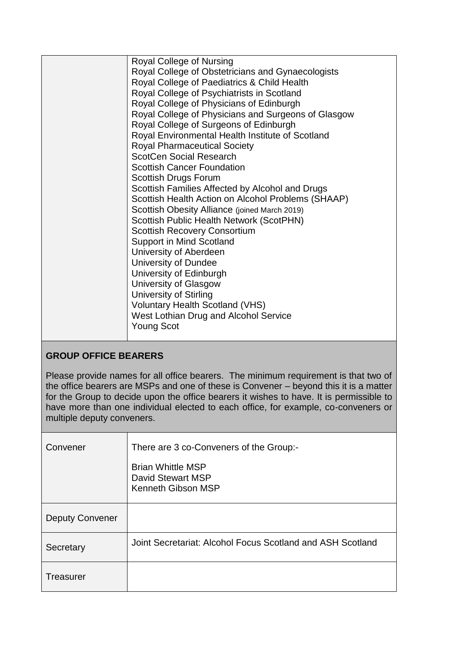| Royal College of Nursing                            |
|-----------------------------------------------------|
| Royal College of Obstetricians and Gynaecologists   |
| Royal College of Paediatrics & Child Health         |
| Royal College of Psychiatrists in Scotland          |
| Royal College of Physicians of Edinburgh            |
| Royal College of Physicians and Surgeons of Glasgow |
| Royal College of Surgeons of Edinburgh              |
| Royal Environmental Health Institute of Scotland    |
| <b>Royal Pharmaceutical Society</b>                 |
| <b>ScotCen Social Research</b>                      |
| <b>Scottish Cancer Foundation</b>                   |
| Scottish Drugs Forum                                |
| Scottish Families Affected by Alcohol and Drugs     |
| Scottish Health Action on Alcohol Problems (SHAAP)  |
| Scottish Obesity Alliance (joined March 2019)       |
| Scottish Public Health Network (ScotPHN)            |
| <b>Scottish Recovery Consortium</b>                 |
| <b>Support in Mind Scotland</b>                     |
| University of Aberdeen                              |
| University of Dundee                                |
| University of Edinburgh                             |
| University of Glasgow                               |
| <b>University of Stirling</b>                       |
| <b>Voluntary Health Scotland (VHS)</b>              |
| West Lothian Drug and Alcohol Service               |
| <b>Young Scot</b>                                   |
|                                                     |

# **GROUP OFFICE BEARERS**

Please provide names for all office bearers. The minimum requirement is that two of the office bearers are MSPs and one of these is Convener – beyond this it is a matter for the Group to decide upon the office bearers it wishes to have. It is permissible to have more than one individual elected to each office, for example, co-conveners or multiple deputy conveners.

| Convener               | There are 3 co-Conveners of the Group:-                             |
|------------------------|---------------------------------------------------------------------|
|                        | <b>Brian Whittle MSP</b><br>David Stewart MSP<br>Kenneth Gibson MSP |
| <b>Deputy Convener</b> |                                                                     |
| Secretary              | Joint Secretariat: Alcohol Focus Scotland and ASH Scotland          |
| Treasurer              |                                                                     |